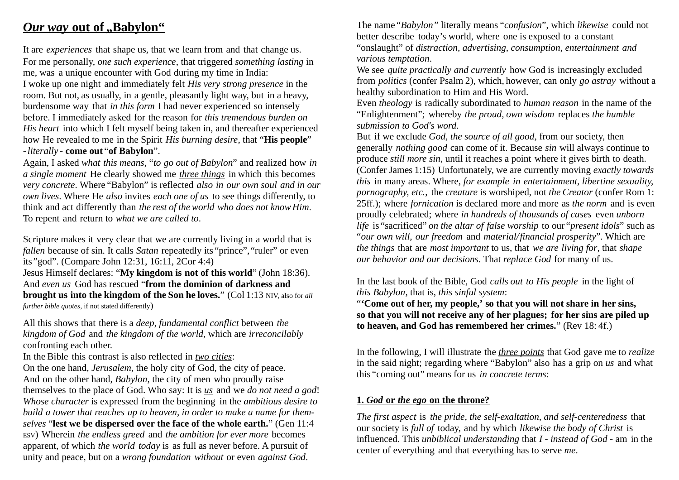# *Our way* **out of "Babylon"**

It are *experiences* that shape us, that we learn from and that change us. For me personally, *one such experience*, that triggered *something lasting* in me, was a unique encounter with God during my time in India: I woke up one night and immediately felt *His very strong presence* in the room. But not, as usually, in a gentle, pleasantly light way, but in a heavy, burdensome way that *in this form* I had never experienced so intensely before. I immediately asked for the reason for *this tremendous burden on His heart* into which I felt myself being taken in, and thereafter experienced how He revealed to me in the Spirit *His burning desire*, that "**His people**" -*literally* - **come out** "**of Babylon**".

Again, I asked *what this means*, "*to go out of Babylon*" and realized how *in a single moment* He clearly showed me *three things* in which this becomes *very concrete*. Where "Babylon" is reflected *also in our own soul and in our own lives*. Where He *also* invites *each one of us* to see things differently, to think and act differently than *the rest of the world who does not knowHim*. To repent and return to *what we are called to*.

Scripture makes it very clear that we are currently living in a world that is *fallen* because of sin. It calls *Satan* repeatedly its "prince", "ruler" or even its "god". (Compare John 12:31, 16:11, 2Cor 4:4) Jesus Himself declares: "**My kingdom is not of this world**" (John 18:36). And *even us* God has rescued "**from the dominion of darkness and brought us into the kingdom of the Son he loves.**" (Col 1:13 NIV, also for *all further bible quotes*, if not stated differently)

All this shows that there is a *deep, fundamental conflict* between *the kingdom of God* and *the kingdom of the world*, which are *irreconcilably* confronting each other.

In the Bible this contrast is also reflected in *two cities*:

On the one hand, *Jerusalem*, the holy city of God, the city of peace. And on the other hand, *Babylon*, the city of men who proudly raise themselves to the place of God. Who say: It is *us* and we *do not need a god*! *Whose character* is expressed from the beginning in the *ambitious desire to build a tower that reaches up to heaven, in order to make a name for themselves* "**lest we be dispersed over the face of the whole earth.**" (Gen 11:4 ESV) Wherein *the endless greed* and *the ambition for ever more* becomes apparent, of which *the world today* is as full as never before. A pursuit of unity and peace, but on a *wrong foundation without* or even *against God*.

The name*"Babylon"* literally means "*confusion*", which *likewise* could not better describe today's world, where one is exposed to a constant "onslaught" of *distraction, advertising, consumption, entertainment and various temptation*.

We see *quite practically and currently* how God is increasingly excluded from *politics* (confer Psalm 2), which, however, can only *go astray* without a healthy subordination to Him and His Word.

Even *theology* is radically subordinated to *human reason* in the name of the "Enlightenment"; whereby *the proud, own wisdom* replaces *the humble submission to God's word*.

But if we exclude *God, the source of all good*, from our society, then generally *nothing good* can come of it. Because *sin* will always continue to produce *still more sin*, until it reaches a point where it gives birth to death. (Confer James 1:15) Unfortunately, we are currently moving *exactly towards this* in many areas. Where, *for example in entertainment, libertine sexuality, pornography, etc.*, the *creature* is worshiped, not *the Creator* (confer Rom 1: 25ff.); where *fornication* is declared more and more as *the norm* and is even proudly celebrated; where *in hundreds of thousands of cases* even *unborn life* is "sacrificed" *on the altar of false worship* to our "*present idols*" such as "*our own will, our freedom* and *material/financial prosperity*". Which are *the things* that are *most important* to us, that *we are living for*, that *shape our behavior and our decisions*. That *replace God* for many of us.

In the last book of the Bible, God *calls out to His people* in the light of *this Babylon*, that is, *this sinful system*:

"**'Come out of her, my people,' so that you will not share in her sins, so that you will not receive any of her plagues; for her sins are piled up to heaven, and God has remembered her crimes.**" (Rev 18: 4f.)

In the following, I will illustrate the *three points* that God gave me to *realize* in the said night; regarding where "Babylon" also has a grip on *us* and what this "coming out" means for us *in concrete terms*:

#### **1.** *God* **or** *the ego* **on the throne?**

*The first aspect* is *the pride, the self-exaltation, and self-centeredness* that our society is *full of* today, and by which *likewise the body of Christ* is influenced. This *unbiblical understanding* that *I* - *instead of God* - am in the center of everything and that everything has to serve *me*.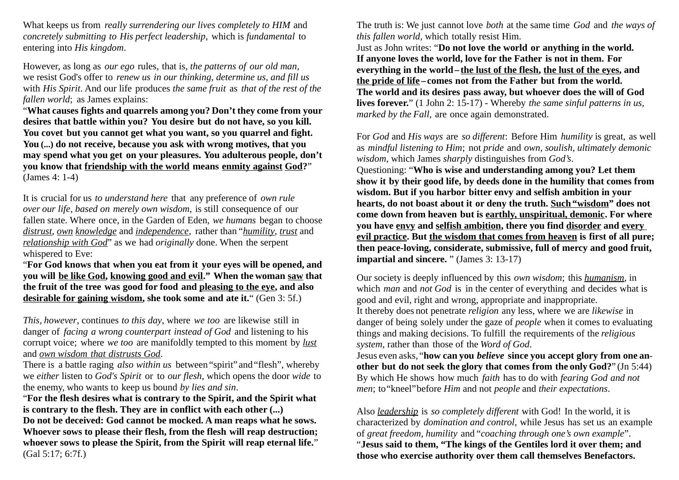What keeps us from *really surrendering our lives completely to HIM* and *concretely submitting to His perfect leadership*, which is *fundamental* to entering into *His kingdom*.

However, as long as *our ego* rules, that is, *the patterns of our old man,* we resist God's offer to *renew us in our thinking, determine us, and fill us* with *His Spirit*. And our life produces *the same fruit* as *that of the rest of the fallen world*; as James explains:

"**What causes fights and quarrels among you? Don't they come from your desires that battle within you? You desire but do not have, so you kill. You covet but you cannot get what you want, so you quarrel and fight. You (...) do not receive, because you ask with wrong motives, that you may spend what you get on your pleasures. You adulterous people, don't you know that friendship with the world means enmity against God?**" (James 4: 1-4)

It is crucial for us *to understand here* that any preference of *own rule over our life*, *based on merely own wisdom*, is still consequence of our fallen state. Where once, in the Garden of Eden, *we humans* began to choose *distrust*, *own knowledge* and *independence*, rather than "*humility*, *trust* and *relationship with God*" as we had *originally* done. When the serpent whispered to Eve:

"**For God knows that when you eat from it your eyes will be opened, and you will be like God, knowing good and evil." When the woman saw that the fruit of the tree was good for food and pleasing to the eye, and also desirable for gaining wisdom, she took some and ate it.**" (Gen 3: 5f.)

*This, however*, continues *to this day*, where *we too* are likewise still in danger of *facing a wrong counterpart instead of God* and listening to his corrupt voice; where *we too* are manifoldly tempted to this moment by *lust* and *own wisdom that distrusts God*.

There is a battle raging *also within us* between "spirit" and"flesh", whereby we *either* listen to *God's Spirit* or to *our flesh*, which opens the door *wide* to the enemy, who wants to keep us bound *by lies and sin*.

"**For the flesh desires what is contrary to the Spirit, and the Spirit what is contrary to the flesh. They are in conflict with each other (...) Do not be deceived: God cannot be mocked. A man reaps what he sows. Whoever sows to please their flesh, from the flesh will reap destruction; whoever sows to please the Spirit, from the Spirit will reap eternal life.**" (Gal 5:17; 6:7f.)

The truth is: We just cannot love *both* at the same time *God* and *the ways of this fallen world,* which totally resist Him.

Just as John writes: "**Do not love the world or anything in the world. If anyone loves the world, love for the Father is not in them. For everything in the world–the lust of the flesh, the lust of the eyes, and the pride of life –comes not from the Father but from the world. The world and its desires pass away, but whoever does the will of God lives forever.**" (1 John 2: 15-17) - Whereby *the same sinful patterns in us, marked by the Fall,* are once again demonstrated.

For *God* and *His ways* are *so different*: Before Him *humility* is great, as well as *mindful listening to Him*; not *pride* and *own, soulish, ultimately demonic wisdom*, which James *sharply* distinguishes from *God's*. Questioning: "**Who is wise and understanding among you? Let them show it by their good life, by deeds done in the humility that comes from wisdom. But if you harbor bitter envy and selfish ambition in your hearts, do not boast about it or deny the truth. Such"wisdom" does not come down from heaven but is earthly, unspiritual, demonic. For where you have envy and selfish ambition, there you find disorder and every evil practice. But the wisdom that comes from heaven is first of all pure; then peace-loving, considerate, submissive, full of mercy and good fruit, impartial and sincere.** " (James 3: 13-17)

Our society is deeply influenced by this *own wisdom*; this *humanism*, in which *man* and *not God* is in the center of everything and decides what is good and evil, right and wrong, appropriate and inappropriate. It thereby does not penetrate *religion* any less, where we are *likewise* in danger of being solely under the gaze of *people* when it comes to evaluating things and making decisions. To fulfill the requirements of the *religious system*, rather than those of the *Word of God*.

Jesus even asks, "**how can you** *believe* **since you accept glory from one another but do not seek the glory that comes from the only God?**" (Jn 5:44) By which He shows how much *faith* has to do with *fearing God and not men*; to"kneel"before *Him* and not *people* and *their expectations*.

Also *leadership* is *so completely different* with God! In the world, it is characterized by *domination and control*, while Jesus has set us an example of *great freedom, humility* and "*coaching through one's own example*". "**Jesus said to them, "The kings of the Gentiles lord it over them; and those who exercise authority over them call themselves Benefactors.**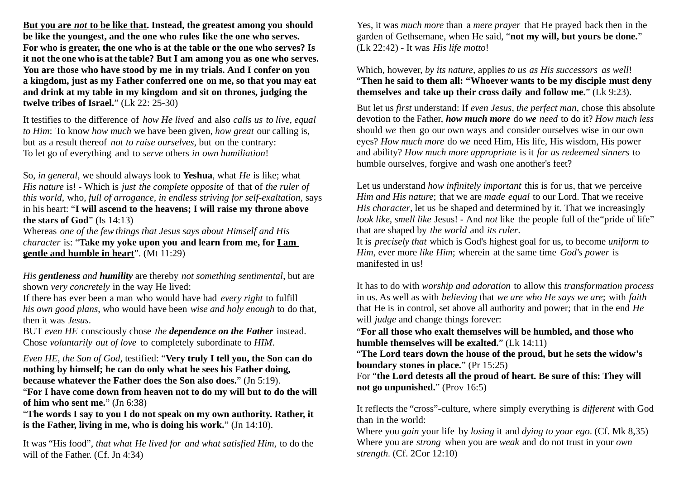**But you are** *not* **to be like that. Instead, the greatest among you should be like the youngest, and the one who rules like the one who serves. For who is greater, the one who is at the table or the one who serves? Is it not the one who is at the table? But I am among you as one who serves. You are those who have stood by me in my trials. And I confer on you a kingdom, just as my Father conferred one on me, so that you may eat and drink at my table in my kingdom and sit on thrones, judging the twelve tribes of Israel.**" (Lk 22: 25-30)

It testifies to the difference of *how He lived* and also *calls us to live, equal to Him*: To know *how much* we have been given, *how great* our calling is, but as a result thereof *not to raise ourselves*, but on the contrary: To let go of everything and to *serve* others *in own humiliation*!

So, *in general*, we should always look to **Yeshua**, what *He* is like; what *His nature* is! - Which is *just the complete opposite* of that of *the ruler of this world*, who, *full of arrogance, in endless striving for self-exaltation,* says in his heart: "**I will ascend to the heavens; I will raise my throne above the stars of God**" (Is 14:13)

Whereas *one of the few things that Jesus says about Himself and His character* is: "**Take my yoke upon you and learn from me, for I am gentle and humble in heart**". (Mt 11:29)

*His gentleness and humility* are thereby *not something sentimental*, but are shown *very concretely* in the way He lived:

If there has ever been a man who would have had *every right* to fulfill *his own good plans*, who would have been *wise and holy enough* to do that, then it was *Jesus*.

BUT *even HE* consciously chose *the dependence on the Father* instead. Chose *voluntarily out of love* to completely subordinate to *HIM*.

*Even HE, the Son of God*, testified: "**Very truly I tell you, the Son can do nothing by himself; he can do only what he sees his Father doing, because whatever the Father does the Son also does.**" (Jn 5:19).

"**For I have come down from heaven not to do my will but to do the will of him who sent me.**" (Jn 6:38)

"**The words I say to you I do not speak on my own authority. Rather, it is the Father, living in me, who is doing his work.**" (Jn 14:10).

It was "His food", *that what He lived for and what satisfied Him*, to do the will of the Father. (Cf. Jn 4:34)

Yes, it was *much more* than a *mere prayer* that He prayed back then in the garden of Gethsemane, when He said, "**not my will, but yours be done.**" (Lk 22:42) - It was *His life motto*!

Which, however, *by its nature*, applies *to us as His successors as well*! "**Then he said to them all: "Whoever wants to be my disciple must deny themselves and take up their cross daily and follow me.**" (Lk 9:23).

But let us *first* understand: If *even Jesus, the perfect man*, chose this absolute devotion to the Father, *how much more* do *we need* to do it? *How much less* should *we* then go our own ways and consider ourselves wise in our own eyes? *How much more* do *we* need Him, His life, His wisdom, His power and ability? *How much more appropriate* is it *for us redeemed sinners* to humble ourselves, forgive and wash one another's feet?

Let us understand *how infinitely important* this is for us, that we perceive *Him and His nature*; that we are *made equal* to our Lord. That we receive *His character*, let us be shaped and determined by it. That we increasingly *look like, smell like* Jesus! - And *not* like the people full of the"pride of life" that are shaped by *the world* and *its ruler*.

It is *precisely that* which is God's highest goal for us, to become *uniform to Him*, ever more *like Him*; wherein at the same time *God's power* is manifested in us!

It has to do with *worship and adoration* to allow this *transformation process* in us. As well as with *believing* that *we are who He says we are*; with *faith* that He is in control, set above all authority and power; that in the end *He*  will *judge* and change things forever:

"**For all those who exalt themselves will be humbled, and those who humble themselves will be exalted.**" (Lk 14:11)

"**The Lord tears down the house of the proud, but he sets the widow's boundary stones in place.**" (Pr 15:25)

For "**the Lord detests all the proud of heart. Be sure of this: They will not go unpunished.**" (Prov 16:5)

It reflects the "cross"-culture, where simply everything is *different* with God than in the world:

Where you *gain* your life by *losing* it and *dying to your ego*. (Cf. Mk 8,35) Where you are *strong* when you are *weak* and do not trust in your *own strength*. (Cf. 2Cor 12:10)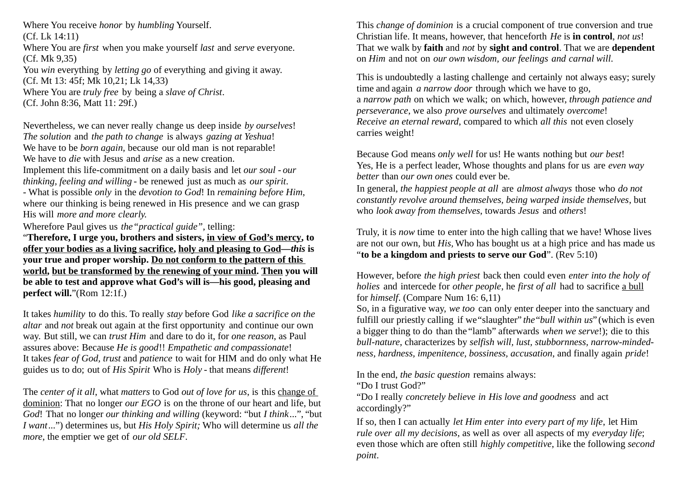Where You receive *honor* by *humbling* Yourself. (Cf. Lk 14:11) Where You are *first* when you make yourself *last* and *serve* everyone. (Cf. Mk 9,35) You *win* everything by *letting go* of everything and giving it away. (Cf. Mt 13: 45f; Mk 10,21; Lk 14,33)

Where You are *truly free* by being a *slave of Christ*. (Cf. John 8:36, Matt 11: 29f.)

Nevertheless, we can never really change us deep inside *by ourselves*! *The solution* and *the path to change* is always *gazing at Yeshua*! We have to be *born again,* because our old man is not reparable! We have to *die* with Jesus and *arise* as a new creation. Implement this life-commitment on a daily basis and let *our soul* - *our thinking, feeling and willing* - be renewed just as much as *our spirit*.

- What is possible *only* in the *devotion to God*! In *remaining before Him*, where our thinking is being renewed in His presence and we can grasp His will *more and more clearly.*

Wherefore Paul gives us *the"practical guide"*, telling:

"**Therefore, I urge you, brothers and sisters, in view of God's mercy, to offer your bodies as a living sacrifice, holy and pleasing to God—***this* **is your true and proper worship. Do not conform to the pattern of this world, but be transformed by the renewing of your mind. Then you will be able to test and approve what God's will is—his good, pleasing and perfect will.**"(Rom 12:1f.)

It takes *humility* to do this. To really *stay* before God *like a sacrifice on the altar* and *not* break out again at the first opportunity and continue our own way. But still, we can *trust Him* and dare to do it, for *one reason*, as Paul assures above: Because *He is good*!! *Empathetic and compassionate*! It takes *fear of God, trust* and *patience* to wait for HIM and do only what He guides us to do; out of *His Spirit* Who is *Holy* - that means *different*!

The *center of it all*, what *matters* to God *out of love for us*, is this change of dominion: That no longer *our EGO* is on the throne of our heart and life, but *God*! That no longer *our thinking and willing* (keyword: "but *I think*...", "but *I want*...") determines us, but *His Holy Spirit;* Who will determine us *all the more*, the emptier we get of *our old SELF*.

This *change of dominion* is a crucial component of true conversion and true Christian life. It means, however, that henceforth *He* is **in control**, *not us*! That we walk by **faith** and *not* by **sight and control**. That we are **dependent** on *Him* and not on *our own wisdom, our feelings and carnal will*.

This is undoubtedly a lasting challenge and certainly not always easy; surely time and again *a narrow door* through which we have to go, a *narrow path* on which we walk; on which, however, *through patience and perseverance*, we also *prove ourselves* and ultimately *overcome*! *Receive an eternal reward*, compared to which *all this* not even closely carries weight!

Because God means *only well* for us! He wants nothing but *our best*! Yes, He is a perfect leader, Whose thoughts and plans for us are *even way better* than *our own ones* could ever be.

In general, *the happiest people at all* are *almost always* those who *do not constantly revolve around themselves, being warped inside themselves*, but who *look away from themselves*, towards *Jesus* and *others*!

Truly, it is *now* time to enter into the high calling that we have! Whose lives are not our own, but *His,* Who has bought us at a high price and has made us "**to be a kingdom and priests to serve our God**". (Rev 5:10)

However, before *the high priest* back then could even *enter into the holy of holies* and intercede for *other people*, he *first of all* had to sacrifice a bull for *himself*. (Compare Num 16: 6,11)

So, in a figurative way, *we too* can only enter deeper into the sanctuary and fulfill our priestly calling if we"slaughter" *the*"*bull within us*" (which is even a bigger thing to do than the "lamb" afterwards *when we serve*!); die to this *bull-nature*, characterizes by *selfish will, lust, stubbornness, narrow-mindedness, hardness, impenitence, bossiness, accusation*, and finally again *pride*!

In the end, *the basic question* remains always:

"Do I trust God?"

"Do I really *concretely believe in His love and goodness* and act accordingly?"

If so, then I can actually *let Him enter into every part of my life*, let Him *rule over all my decisions*, as well as over all aspects of my *everyday life*; even those which are often still *highly competitive*, like the following *second point*.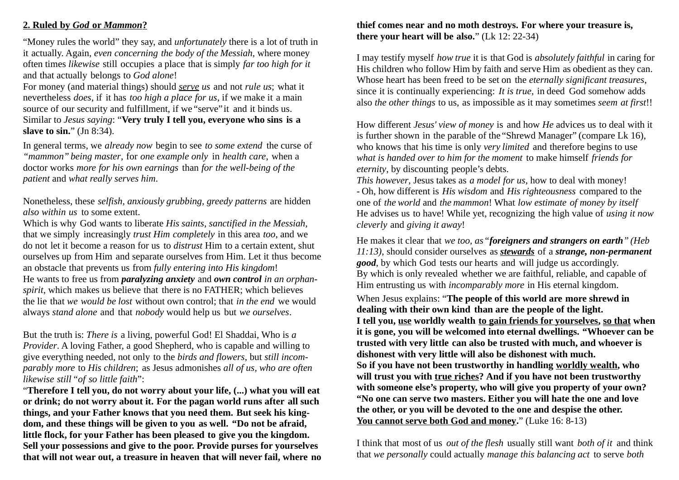#### **2. Ruled by** *God* **or** *Mammon***?**

"Money rules the world" they say, and *unfortunately* there is a lot of truth in it actually. Again, *even concerning the body of the Messiah*, where money often times *likewise* still occupies a place that is simply *far too high for it* and that actually belongs to *God alone*!

For money (and material things) should *serve us* and not *rule us*; what it nevertheless *does*, if it has *too high a place for us*, if we make it a main source of our security and fulfillment, if we "serve"it and it binds us. Similar to *Jesus saying*: "**Very truly I tell you, everyone who sins is a slave to sin.**" (Jn 8:34).

In general terms, we *already now* begin to see *to some extend* the curse of *"mammon" being master*, for *one example only* in *health care*, when a doctor works *more for his own earnings* than *for the well-being of the patient* and *what really serves him*.

Nonetheless, these *selfish, anxiously grubbing, greedy patterns* are hidden *also within us* to some extent.

Which is why God wants to liberate *His saints, sanctified in the Messiah,* that we simply increasingly *trust Him completely* in this area *too*, and we do not let it become a reason for us to *distrust* Him to a certain extent, shut ourselves up from Him and separate ourselves from Him. Let it thus become an obstacle that prevents us from *fully entering into His kingdom*! He wants to free us from *paralyzing anxiety* and *own control in an orphanspirit*, which makes us believe that there is no FATHER; which believes the lie that *we would be lost* without own control; that *in the end* we would always *stand alone* and that *nobody* would help us but *we ourselves*.

But the truth is: *There is* a living, powerful God! El Shaddai, Who is *a Provider*. A loving Father, a good Shepherd, who is capable and willing to give everything needed, not only to the *birds and flowers*, but *still incomparably more* to *His children*; as Jesus admonishes *all of us, who are often likewise still"of so little faith*":

"**Therefore I tell you, do not worry about your life, (...) what you will eat or drink; do not worry about it. For the pagan world runs after all such things, and your Father knows that you need them. But seek his kingdom, and these things will be given to you as well. "Do not be afraid, little flock, for your Father has been pleased to give you the kingdom. Sell your possessions and give to the poor. Provide purses for yourselves that will not wear out, a treasure in heaven that will never fail, where no**

### **thief comes near and no moth destroys. For where your treasure is, there your heart will be also.**" (Lk 12: 22-34)

I may testify myself *how true* it is that God is *absolutely faithful* in caring for His children who follow Him by faith and serve Him as obedient as they can. Whose heart has been freed to be set on the *eternally significant treasures*, since it is continually experiencing: *It is true*, in deed God somehow adds also *the other things* to us, as impossible as it may sometimes *seem at first*!!

How different *Jesus' view of money* is and how *He* advices us to deal with it is further shown in the parable of the "Shrewd Manager" (compare Lk 16), who knows that his time is only *very limited* and therefore begins to use *what is handed over to him for the moment* to make himself *friends for eternity*, by discounting people's debts.

*This however*, Jesus takes as *a model for us*, how to deal with money! - Oh, how different is *His wisdom* and *His righteousness* compared to the one of *the world* and *the mammon*! What *low estimate of money by itself* He advises us to have! While yet, recognizing the high value of *using it now cleverly* and *giving it away*!

He makes it clear that *we too, as"foreigners and strangers on earth" (Heb 11:13)*, should consider ourselves as *stewards* of a *strange, non-permanent*  **good**, by which God tests our hearts and will judge us accordingly. By which is only revealed whether we are faithful, reliable, and capable of Him entrusting us with *incomparably more* in His eternal kingdom.

When Jesus explains: "**The people of this world are more shrewd in dealing with their own kind than are the people of the light. I tell you, use worldly wealth to gain friends for yourselves, so that when it is gone, you will be welcomed into eternal dwellings. "Whoever can be trusted with very little can also be trusted with much, and whoever is dishonest with very little will also be dishonest with much. So if you have not been trustworthy in handling worldly wealth, who will trust you with true riches? And if you have not been trustworthy with someone else's property, who will give you property of your own? "No one can serve two masters. Either you will hate the one and love the other, or you will be devoted to the one and despise the other.**  You cannot serve both God and money." (Luke 16: 8-13)

I think that most of us *out of the flesh* usually still want *both of it* and think that *we personally* could actually *manage this balancing act* to serve *both*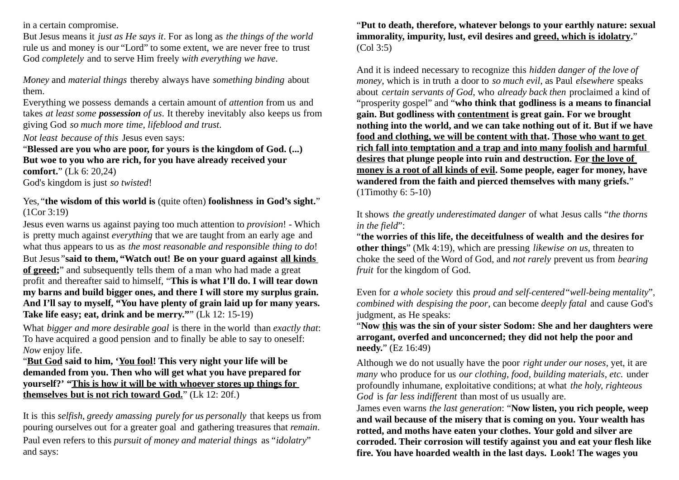in a certain compromise.

But Jesus means it *just as He says it*. For as long as *the things of the world* rule us and money is our "Lord" to some extent, we are never free to trust God *completely* and to serve Him freely *with everything we have*.

*Money* and *material things* thereby always have *something binding* about them.

Everything we possess demands a certain amount of *attention* from us and takes *at least some possession of us*. It thereby inevitably also keeps us from giving God *so much more time, lifeblood and trust*.

*Not least because of this* Jesus even says:

"**Blessed are you who are poor, for yours is the kingdom of God. (...) But woe to you who are rich, for you have already received your comfort.**" (Lk 6: 20,24) God's kingdom is just *so twisted*!

Yes, "**the wisdom of this world is** (quite often) **foolishness in God's sight.**" (1Cor 3:19)

Jesus even warns us against paying too much attention to *provision*! - Which is pretty much against *everything* that we are taught from an early age and what thus appears to us as *the most reasonable and responsible thing to do*! But Jesus "**said to them, "Watch out! Be on your guard against all kinds of greed;**" and subsequently tells them of a man who had made a great profit and thereafter said to himself, "**This is what I'll do. I will tear down my barns and build bigger ones, and there I will store my surplus grain. And I'll say to myself, "You have plenty of grain laid up for many years. Take life easy; eat, drink and be merry."**" (Lk 12: 15-19)

What *bigger and more desirable goal* is there in the world than *exactly that*: To have acquired a good pension and to finally be able to say to oneself: *Now* enjoy life.

"**But God said to him, 'You fool! This very night your life will be demanded from you. Then who will get what you have prepared for yourself?' " This is how it will be with whoever stores up things for themselves but is not rich toward God.**" (Lk 12: 20f.)

It is this *selfish, greedy amassing purely for us personally* that keeps us from pouring ourselves out for a greater goal and gathering treasures that *remain*. Paul even refers to this *pursuit of money and material things* as*"idolatry*" and says:

"**Put to death, therefore, whatever belongs to your earthly nature: sexual immorality, impurity, lust, evil desires and greed, which is idolatry.**" (Col 3:5)

And it is indeed necessary to recognize this *hidden danger of the love of money*, which is in truth a door to *so much evil*, as Paul *elsewhere* speaks about *certain servants of God*, who *already back then* proclaimed a kind of "prosperity gospel" and "**who think that godliness is a means to financial gain. But godliness with contentment is great gain. For we brought nothing into the world, and we can take nothing out of it. But if we have food and clothing, we will be content with that. Those who want to get rich fall into temptation and a trap and into many foolish and harmful desires that plunge people into ruin and destruction. For the love of money is a root of all kinds of evil. Some people, eager for money, have wandered from the faith and pierced themselves with many griefs.**" (1Timothy 6: 5-10)

It shows *the greatly underestimated danger* of what Jesus calls "*the thorns in the field*":

"**the worries of this life, the deceitfulness of wealth and the desires for other things**" (Mk 4:19), which are pressing *likewise on us*, threaten to choke the seed of the Word of God, and *not rarely* prevent us from *bearing fruit* for the kingdom of God.

Even for *a whole society* this *proud and self-centered*"*well-being mentality*", *combined with despising the poor*, can become *deeply fatal* and cause God's judgment, as He speaks:

"**Now this was the sin of your sister Sodom: She and her daughters were arrogant, overfed and unconcerned; they did not help the poor and needy.**" (Ez 16:49)

Although we do not usually have the poor *right under our noses*, yet, it are *many* who produce for us *our clothing, food, building materials, etc.* under profoundly inhumane, exploitative conditions; at what *the holy, righteous God* is *far less indifferent* than most of us usually are.

James even warns *the last generation*: "**Now listen, you rich people, weep and wail because of the misery that is coming on you. Your wealth has rotted, and moths have eaten your clothes. Your gold and silver are corroded. Their corrosion will testify against you and eat your flesh like fire. You have hoarded wealth in the last days. Look! The wages you**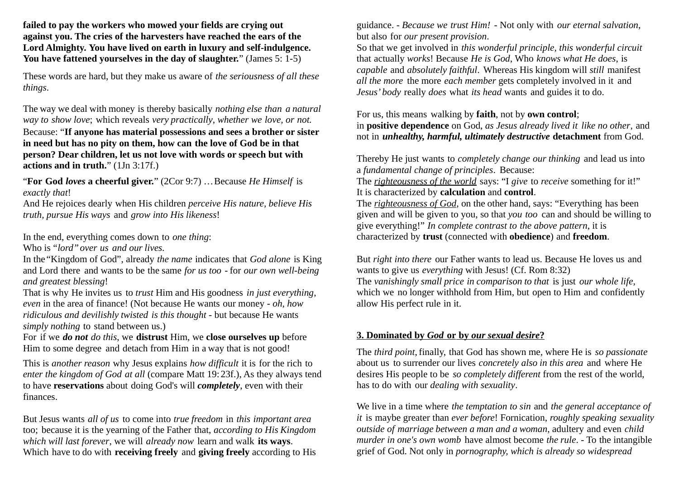**failed to pay the workers who mowed your fields are crying out against you. The cries of the harvesters have reached the ears of the Lord Almighty. You have lived on earth in luxury and self-indulgence. You have fattened yourselves in the day of slaughter.**" (James 5: 1-5)

These words are hard, but they make us aware of *the seriousness of all these things*.

The way we deal with money is thereby basically *nothing else than a natural way to show love*; which reveals *very practically*, *whether we love, or not.* Because: "**If anyone has material possessions and sees a brother or sister in need but has no pity on them, how can the love of God be in that person? Dear children, let us not love with words or speech but with actions and in truth.**" (1Jn 3:17f.)

"**For God** *loves* **a cheerful giver.**" (2Cor 9:7) …Because *He Himself* is *exactly that*!

And He rejoices dearly when His children *perceive His nature, believe His truth, pursue His ways* and *grow into His likeness*!

In the end, everything comes down to *one thing*:

Who is *"lord"over us and our lives.*

In the "Kingdom of God", already *the name* indicates that *God alone* is King and Lord there and wants to be the same *for us too* - for *our own well-being and greatest blessing*!

That is why He invites us to *trust* Him and His goodness *in just everything*, *even* in the area of finance! (Not because He wants our money - *oh, how ridiculous and devilishly twisted is this thought* - but because He wants *simply nothing* to stand between us.)

For if we *do not do this*, we **distrust** Him, we **close ourselves up** before Him to some degree and detach from Him in a way that is not good!

This is *another reason* why Jesus explains *how difficult* it is for the rich to *enter the kingdom of God at all* (compare Matt 19: 23f.), As they always tend to have **reservations** about doing God's will *completely*, even with their finances.

But Jesus wants *all of us* to come into *true freedom* in *this important area*  too; because it is the yearning of the Father that, *according to His Kingdom which will last forever*, we will *already now* learn and walk **its ways**. Which have to do with **receiving freely** and **giving freely** according to His

guidance. - *Because we trust Him!* - Not only with *our eternal salvation*, but also for *our present provision*.

So that we get involved in *this wonderful principle, this wonderful circuit* that actually *works*! Because *He is God*, Who *knows what He does*, is *capable* and *absolutely faithful*. Whereas His kingdom will *still* manifest *all the more* the more *each member* gets completely involved in it and *Jesus' body* really *does* what *its head* wants and guides it to do.

For us, this means walking by **faith**, not by **own control**;

in **positive dependence** on God, *as Jesus already lived it like no other*, and not in *unhealthy, harmful, ultimately destructive* **detachment** from God.

Thereby He just wants to *completely change our thinking* and lead us into a *fundamental change of principles*. Because:

The *righteousness of the world* says: "I *give* to *receive* something for it!" It is characterized by **calculation** and **control**.

The *righteousness of God*, on the other hand, says: "Everything has been given and will be given to you, so that *you too* can and should be willing to give everything!" *In complete contrast to the above pattern*, it is characterized by **trust** (connected with **obedience**) and **freedom**.

But *right into there* our Father wants to lead us. Because He loves us and wants to give us *everything* with Jesus! (Cf. Rom 8:32) The *vanishingly small price in comparison to that* is just *our whole life*, which we no longer withhold from Him, but open to Him and confidently allow His perfect rule in it.

## **3. Dominated by** *God* **or by** *our sexual desire***?**

The *third point*, finally, that God has shown me, where He is *so passionate* about us to surrender our lives *concretely also in this area* and where He desires His people to be *so completely different* from the rest of the world, has to do with our *dealing with sexuality*.

We live in a time where *the temptation to sin* and *the general acceptance of it* is maybe greater than *ever before*! Fornication, *roughly speaking sexuality outside of marriage between a man and a woman*, adultery and even *child murder in one's own womb* have almost become *the rule*. - To the intangible grief of God. Not only in *pornography, which is already so widespread*